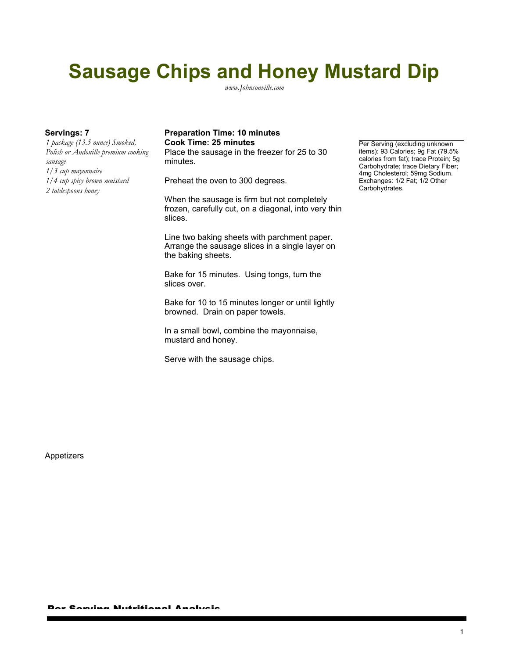## **Sausage Chips and Honey Mustard Dip**

*www.Johnsonville.com*

*1 package (13.5 ounce) Smoked, Polish or Andouille premium cooking sausage 1/3 cup mayonnaise 1/4 cup spicy brown muistard 2 tablespoons honey*

## Servings: 7 **Preparation Time: 10 minutes Cook Time: 25 minutes Per Serving (excluding unknown**

Place the sausage in the freezer for 25 to 30 minutes.

Preheat the oven to 300 degrees.

When the sausage is firm but not completely frozen, carefully cut, on a diagonal, into very thin slices.

Line two baking sheets with parchment paper. Arrange the sausage slices in a single layer on the baking sheets.

Bake for 15 minutes. Using tongs, turn the slices over.

Bake for 10 to 15 minutes longer or until lightly browned. Drain on paper towels.

In a small bowl, combine the mayonnaise, mustard and honey.

Serve with the sausage chips.

items): 93 Calories; 9g Fat (79.5% calories from fat); trace Protein; 5g Carbohydrate; trace Dietary Fiber; 4mg Cholesterol; 59mg Sodium. Exchanges: 1/2 Fat; 1/2 Other Carbohydrates.

Appetizers